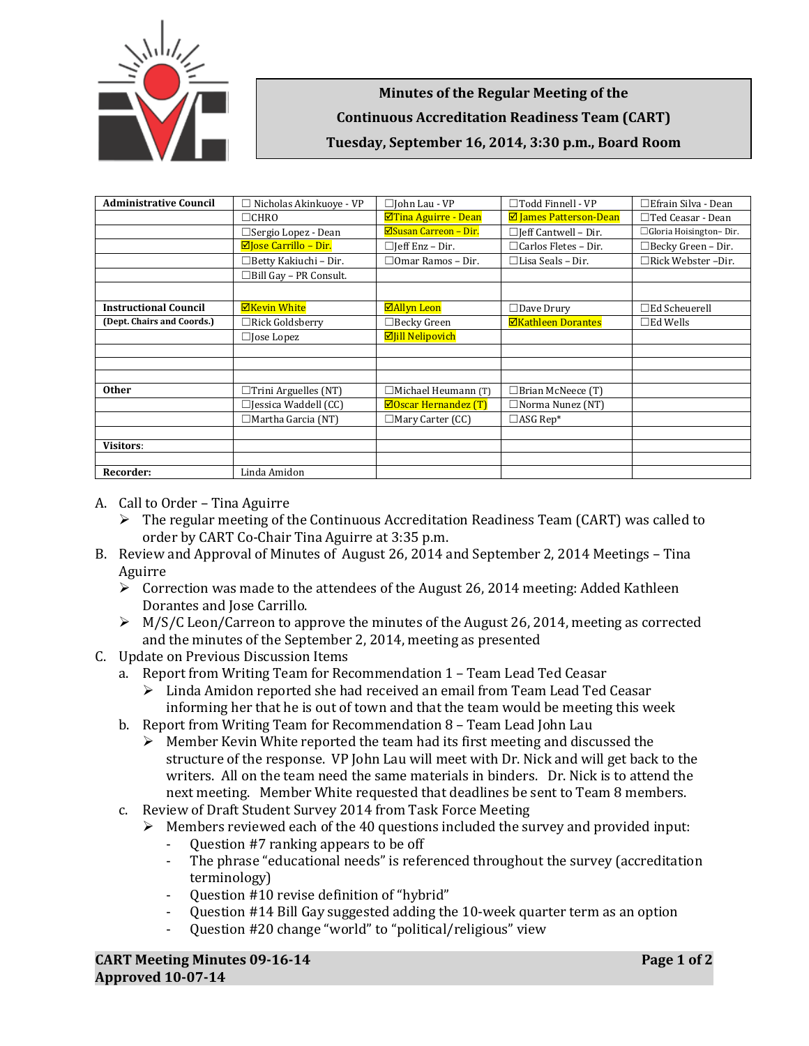

**Minutes of the Regular Meeting of the Continuous Accreditation Readiness Team (CART) Tuesday, September 16, 2014, 3:30 p.m., Board Room**

| <b>Administrative Council</b> | $\Box$ Nicholas Akinkuove - VP | □John Lau - VP                | $\Box$ Todd Finnell - VP    | $\Box$ Efrain Silva - Dean |
|-------------------------------|--------------------------------|-------------------------------|-----------------------------|----------------------------|
|                               | $\Box$ CHRO                    | ⊠Tina Aguirre - Dean          | ☑ James Patterson-Dean      | $\Box$ Ted Ceasar - Dean   |
|                               | $\Box$ Sergio Lopez - Dean     | $\Xi$ Susan Carreon – Dir.    | $\Box$ Jeff Cantwell - Dir. | □ Gloria Hoisington-Dir.   |
|                               | $\boxdot$ lose Carrillo – Dir. | □Jeff Enz – Dir.              | $\Box$ Carlos Fletes - Dir. | $\Box$ Becky Green - Dir.  |
|                               | □Betty Kakiuchi – Dir.         | $\Box$ Omar Ramos - Dir.      | $\Box$ Lisa Seals – Dir.    | □Rick Webster -Dir.        |
|                               | $\Box$ Bill Gay – PR Consult.  |                               |                             |                            |
|                               |                                |                               |                             |                            |
| <b>Instructional Council</b>  | <b>ØKevin White</b>            | <b>⊠Allyn Leon</b>            | $\Box$ Dave Drury           | $\Box$ Ed Scheuerell       |
| (Dept. Chairs and Coords.)    | $\Box$ Rick Goldsberry         | $\Box$ Becky Green            | <b>ØKathleen Dorantes</b>   | $\square$ Ed Wells         |
|                               | $\Box$ Jose Lopez              | <b>Ø</b> Jill Nelipovich      |                             |                            |
|                               |                                |                               |                             |                            |
|                               |                                |                               |                             |                            |
|                               |                                |                               |                             |                            |
| <b>Other</b>                  | $\Box$ Trini Arguelles (NT)    | $\Box$ Michael Heumann (T)    | $\Box$ Brian McNeece (T)    |                            |
|                               | $\Box$ Jessica Waddell (CC)    | $\boxdot$ Oscar Hernandez (T) | $\Box$ Norma Nunez (NT)     |                            |
|                               | $\Box$ Martha Garcia (NT)      | $\Box$ Mary Carter (CC)       | $\Box$ ASG Rep*             |                            |
|                               |                                |                               |                             |                            |
| <b>Visitors:</b>              |                                |                               |                             |                            |
|                               |                                |                               |                             |                            |
| Recorder:                     | Linda Amidon                   |                               |                             |                            |

- A. Call to Order Tina Aguirre
	- $\triangleright$  The regular meeting of the Continuous Accreditation Readiness Team (CART) was called to order by CART Co-Chair Tina Aguirre at 3:35 p.m.
- B. Review and Approval of Minutes of August 26, 2014 and September 2, 2014 Meetings Tina Aguirre
	- $\triangleright$  Correction was made to the attendees of the August 26, 2014 meeting: Added Kathleen Dorantes and Jose Carrillo.
	- $\triangleright$  M/S/C Leon/Carreon to approve the minutes of the August 26, 2014, meeting as corrected and the minutes of the September 2, 2014, meeting as presented
- C. Update on Previous Discussion Items

a. Report from Writing Team for Recommendation 1 – Team Lead Ted Ceasar

- $\triangleright$  Linda Amidon reported she had received an email from Team Lead Ted Ceasar informing her that he is out of town and that the team would be meeting this week
- b. Report from Writing Team for Recommendation 8 Team Lead John Lau
	- $\triangleright$  Member Kevin White reported the team had its first meeting and discussed the structure of the response. VP John Lau will meet with Dr. Nick and will get back to the writers. All on the team need the same materials in binders. Dr. Nick is to attend the next meeting. Member White requested that deadlines be sent to Team 8 members.
- c. Review of Draft Student Survey 2014 from Task Force Meeting

A Members reviewed each of the 40 questions included the survey and provided input:<br>- Question #7 ranking appears to be off

- Question #7 ranking appears to be off
- The phrase "educational needs" is referenced throughout the survey (accreditation terminology)
- Question #10 revise definition of "hybrid"
- Question #14 Bill Gay suggested adding the 10-week quarter term as an option<br>- Question #20 change "world" to "political/religious" view
- Question #20 change "world" to "political/religious" view